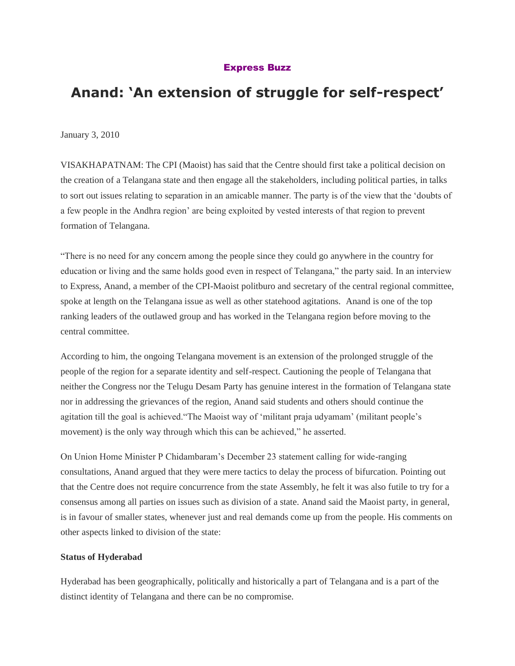# [Express Buzz](http://www.expressbuzz.com/edition/story.aspx?Title=%E2%80%98An+extension+of+struggle+for+self-respect%E2%80%99&artid=nTwh27yD1%7CA=&SectionID=e7uPP4%7CpSiw=&MainSectionID=fyV9T2jIa4A=&SectionName=EH8HilNJ2uYAot5nzqumeA==&SEO=)

# **Anand: 'An extension of struggle for self-respect'**

January 3, 2010

VISAKHAPATNAM: The CPI (Maoist) has said that the Centre should first take a political decision on the creation of a Telangana state and then engage all the stakeholders, including political parties, in talks to sort out issues relating to separation in an amicable manner. The party is of the view that the "doubts of a few people in the Andhra region" are being exploited by vested interests of that region to prevent formation of Telangana.

"There is no need for any concern among the people since they could go anywhere in the country for education or living and the same holds good even in respect of Telangana," the party said. In an interview to Express, Anand, a member of the CPI-Maoist politburo and secretary of the central regional committee, spoke at length on the Telangana issue as well as other statehood agitations. Anand is one of the top ranking leaders of the outlawed group and has worked in the Telangana region before moving to the central committee.

According to him, the ongoing Telangana movement is an extension of the prolonged struggle of the people of the region for a separate identity and self-respect. Cautioning the people of Telangana that neither the Congress nor the Telugu Desam Party has genuine interest in the formation of Telangana state nor in addressing the grievances of the region, Anand said students and others should continue the agitation till the goal is achieved."The Maoist way of "militant praja udyamam" (militant people"s movement) is the only way through which this can be achieved," he asserted.

On Union Home Minister P Chidambaram"s December 23 statement calling for wide-ranging consultations, Anand argued that they were mere tactics to delay the process of bifurcation. Pointing out that the Centre does not require concurrence from the state Assembly, he felt it was also futile to try for a consensus among all parties on issues such as division of a state. Anand said the Maoist party, in general, is in favour of smaller states, whenever just and real demands come up from the people. His comments on other aspects linked to division of the state:

#### **Status of Hyderabad**

Hyderabad has been geographically, politically and historically a part of Telangana and is a part of the distinct identity of Telangana and there can be no compromise.